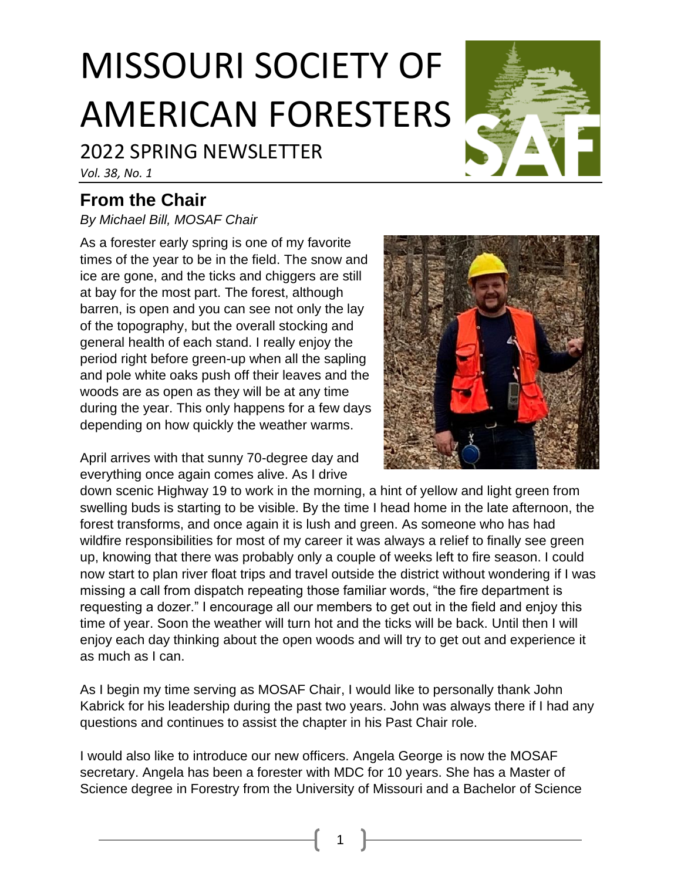# MISSOURI SOCIETY OF AMERICAN FORESTERS

# 2022 SPRING NEWSLETTER

*Vol. 38, No. 1*

# **From the Chair**

*By Michael Bill, MOSAF Chair*

As a forester early spring is one of my favorite times of the year to be in the field. The snow and ice are gone, and the ticks and chiggers are still at bay for the most part. The forest, although barren, is open and you can see not only the lay of the topography, but the overall stocking and general health of each stand. I really enjoy the period right before green-up when all the sapling and pole white oaks push off their leaves and the woods are as open as they will be at any time during the year. This only happens for a few days depending on how quickly the weather warms.

April arrives with that sunny 70-degree day and everything once again comes alive. As I drive



down scenic Highway 19 to work in the morning, a hint of yellow and light green from swelling buds is starting to be visible. By the time I head home in the late afternoon, the forest transforms, and once again it is lush and green. As someone who has had wildfire responsibilities for most of my career it was always a relief to finally see green up, knowing that there was probably only a couple of weeks left to fire season. I could now start to plan river float trips and travel outside the district without wondering if I was missing a call from dispatch repeating those familiar words, "the fire department is requesting a dozer." I encourage all our members to get out in the field and enjoy this time of year. Soon the weather will turn hot and the ticks will be back. Until then I will enjoy each day thinking about the open woods and will try to get out and experience it as much as I can.

As I begin my time serving as MOSAF Chair, I would like to personally thank John Kabrick for his leadership during the past two years. John was always there if I had any questions and continues to assist the chapter in his Past Chair role.

I would also like to introduce our new officers. Angela George is now the MOSAF secretary. Angela has been a forester with MDC for 10 years. She has a Master of Science degree in Forestry from the University of Missouri and a Bachelor of Science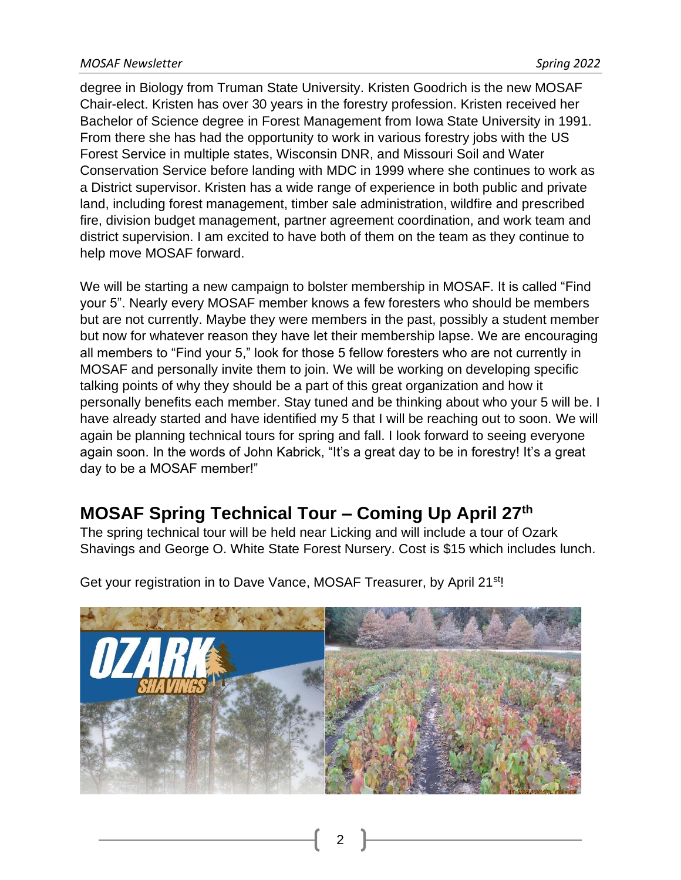degree in Biology from Truman State University. Kristen Goodrich is the new MOSAF Chair-elect. Kristen has over 30 years in the forestry profession. Kristen received her Bachelor of Science degree in Forest Management from Iowa State University in 1991. From there she has had the opportunity to work in various forestry jobs with the US Forest Service in multiple states, Wisconsin DNR, and Missouri Soil and Water Conservation Service before landing with MDC in 1999 where she continues to work as a District supervisor. Kristen has a wide range of experience in both public and private land, including forest management, timber sale administration, wildfire and prescribed fire, division budget management, partner agreement coordination, and work team and district supervision. I am excited to have both of them on the team as they continue to help move MOSAF forward.

We will be starting a new campaign to bolster membership in MOSAF. It is called "Find your 5". Nearly every MOSAF member knows a few foresters who should be members but are not currently. Maybe they were members in the past, possibly a student member but now for whatever reason they have let their membership lapse. We are encouraging all members to "Find your 5," look for those 5 fellow foresters who are not currently in MOSAF and personally invite them to join. We will be working on developing specific talking points of why they should be a part of this great organization and how it personally benefits each member. Stay tuned and be thinking about who your 5 will be. I have already started and have identified my 5 that I will be reaching out to soon. We will again be planning technical tours for spring and fall. I look forward to seeing everyone again soon. In the words of John Kabrick, "It's a great day to be in forestry! It's a great day to be a MOSAF member!"

# **MOSAF Spring Technical Tour – Coming Up April 27th**

The spring technical tour will be held near Licking and will include a tour of Ozark Shavings and George O. White State Forest Nursery. Cost is \$15 which includes lunch.



Get your registration in to Dave Vance, MOSAF Treasurer, by April 21<sup>st</sup>!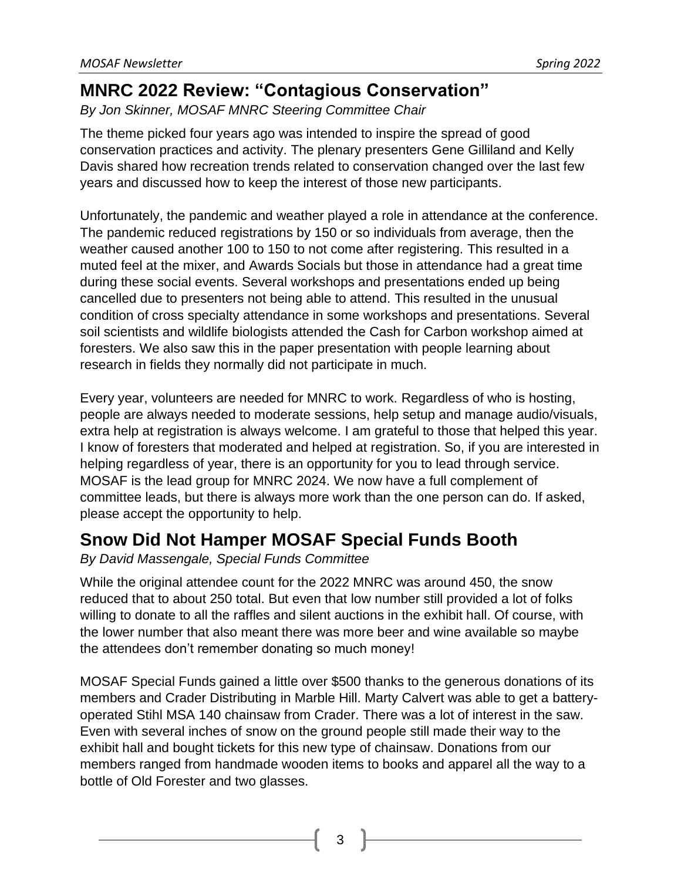### **MNRC 2022 Review: "Contagious Conservation"**

*By Jon Skinner, MOSAF MNRC Steering Committee Chair*

The theme picked four years ago was intended to inspire the spread of good conservation practices and activity. The plenary presenters Gene Gilliland and Kelly Davis shared how recreation trends related to conservation changed over the last few years and discussed how to keep the interest of those new participants.

Unfortunately, the pandemic and weather played a role in attendance at the conference. The pandemic reduced registrations by 150 or so individuals from average, then the weather caused another 100 to 150 to not come after registering. This resulted in a muted feel at the mixer, and Awards Socials but those in attendance had a great time during these social events. Several workshops and presentations ended up being cancelled due to presenters not being able to attend. This resulted in the unusual condition of cross specialty attendance in some workshops and presentations. Several soil scientists and wildlife biologists attended the Cash for Carbon workshop aimed at foresters. We also saw this in the paper presentation with people learning about research in fields they normally did not participate in much.

Every year, volunteers are needed for MNRC to work. Regardless of who is hosting, people are always needed to moderate sessions, help setup and manage audio/visuals, extra help at registration is always welcome. I am grateful to those that helped this year. I know of foresters that moderated and helped at registration. So, if you are interested in helping regardless of year, there is an opportunity for you to lead through service. MOSAF is the lead group for MNRC 2024. We now have a full complement of committee leads, but there is always more work than the one person can do. If asked, please accept the opportunity to help.

### **Snow Did Not Hamper MOSAF Special Funds Booth**

*By David Massengale, Special Funds Committee*

While the original attendee count for the 2022 MNRC was around 450, the snow reduced that to about 250 total. But even that low number still provided a lot of folks willing to donate to all the raffles and silent auctions in the exhibit hall. Of course, with the lower number that also meant there was more beer and wine available so maybe the attendees don't remember donating so much money!

MOSAF Special Funds gained a little over \$500 thanks to the generous donations of its members and Crader Distributing in Marble Hill. Marty Calvert was able to get a batteryoperated Stihl MSA 140 chainsaw from Crader. There was a lot of interest in the saw. Even with several inches of snow on the ground people still made their way to the exhibit hall and bought tickets for this new type of chainsaw. Donations from our members ranged from handmade wooden items to books and apparel all the way to a bottle of Old Forester and two glasses.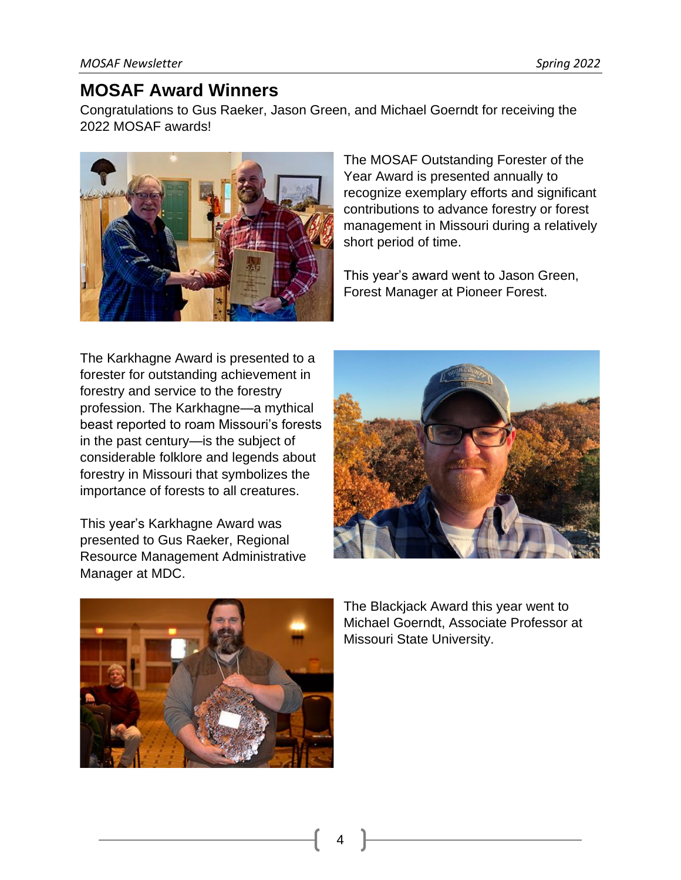### **MOSAF Award Winners**

Congratulations to Gus Raeker, Jason Green, and Michael Goerndt for receiving the 2022 MOSAF awards!



The MOSAF Outstanding Forester of the Year Award is presented annually to recognize exemplary efforts and significant contributions to advance forestry or forest management in Missouri during a relatively short period of time.

This year's award went to Jason Green, Forest Manager at Pioneer Forest.

The Karkhagne Award is presented to a forester for outstanding achievement in forestry and service to the forestry profession. The Karkhagne—a mythical beast reported to roam Missouri's forests in the past century—is the subject of considerable folklore and legends about forestry in Missouri that symbolizes the importance of forests to all creatures.

This year's Karkhagne Award was presented to Gus Raeker, Regional Resource Management Administrative Manager at MDC.





The Blackjack Award this year went to Michael Goerndt, Associate Professor at Missouri State University.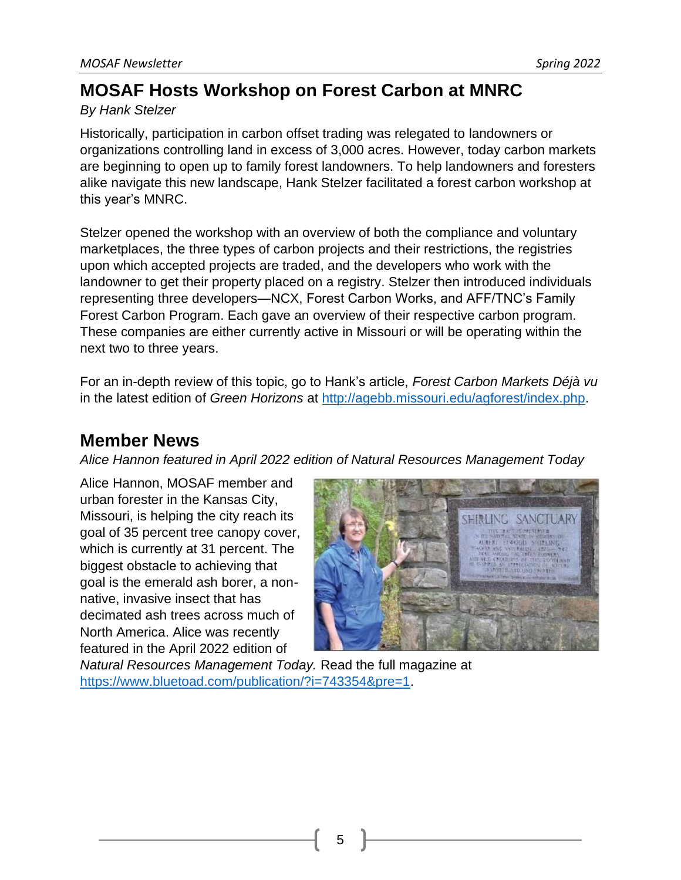### **MOSAF Hosts Workshop on Forest Carbon at MNRC**

#### *By Hank Stelzer*

Historically, participation in carbon offset trading was relegated to landowners or organizations controlling land in excess of 3,000 acres. However, today carbon markets are beginning to open up to family forest landowners. To help landowners and foresters alike navigate this new landscape, Hank Stelzer facilitated a forest carbon workshop at this year's MNRC.

Stelzer opened the workshop with an overview of both the compliance and voluntary marketplaces, the three types of carbon projects and their restrictions, the registries upon which accepted projects are traded, and the developers who work with the landowner to get their property placed on a registry. Stelzer then introduced individuals representing three developers—NCX, Forest Carbon Works, and AFF/TNC's Family Forest Carbon Program. Each gave an overview of their respective carbon program. These companies are either currently active in Missouri or will be operating within the next two to three years.

For an in-depth review of this topic, go to Hank's article, *Forest Carbon Markets Déjà vu* in the latest edition of *Green Horizons* at [http://agebb.missouri.edu/agforest/index.php.](http://agebb.missouri.edu/agforest/index.php)

### **Member News**

*Alice Hannon featured in April 2022 edition of Natural Resources Management Today*

Alice Hannon, MOSAF member and urban forester in the Kansas City, Missouri, is helping the city reach its goal of 35 percent tree canopy cover, which is currently at 31 percent. The biggest obstacle to achieving that goal is the emerald ash borer, a nonnative, invasive insect that has decimated ash trees across much of North America. Alice was recently featured in the April 2022 edition of



*Natural Resources Management Today.* Read the full magazine at [https://www.bluetoad.com/publication/?i=743354&pre=1.](https://www.bluetoad.com/publication/?i=743354&pre=1)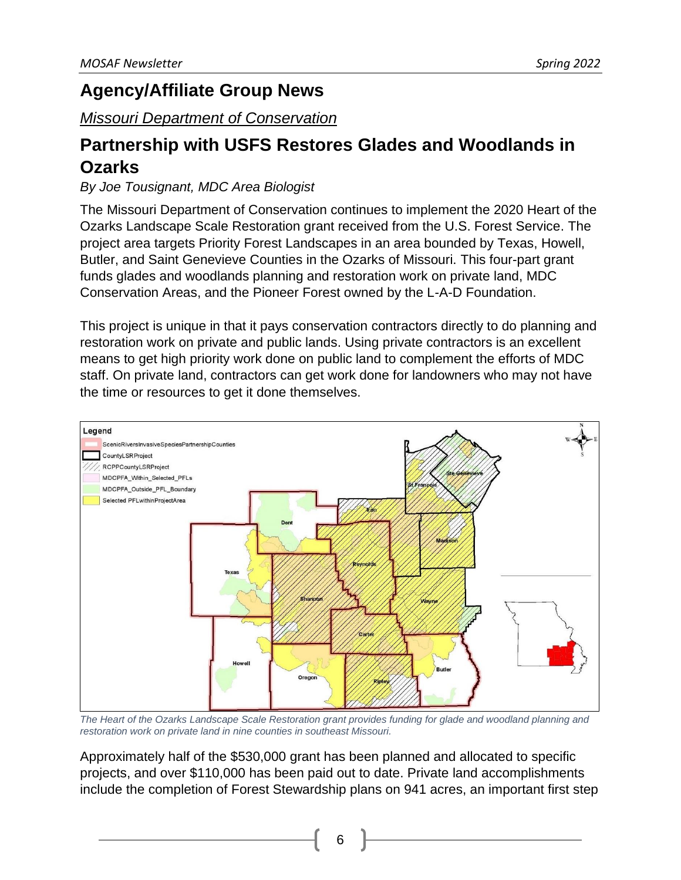### **Agency/Affiliate Group News**

### *Missouri Department of Conservation*

# **Partnership with USFS Restores Glades and Woodlands in Ozarks**

### *By Joe Tousignant, MDC Area Biologist*

The Missouri Department of Conservation continues to implement the 2020 Heart of the Ozarks Landscape Scale Restoration grant received from the U.S. Forest Service. The project area targets Priority Forest Landscapes in an area bounded by Texas, Howell, Butler, and Saint Genevieve Counties in the Ozarks of Missouri. This four-part grant funds glades and woodlands planning and restoration work on private land, MDC Conservation Areas, and the Pioneer Forest owned by the L-A-D Foundation.

This project is unique in that it pays conservation contractors directly to do planning and restoration work on private and public lands. Using private contractors is an excellent means to get high priority work done on public land to complement the efforts of MDC staff. On private land, contractors can get work done for landowners who may not have the time or resources to get it done themselves.



*The Heart of the Ozarks Landscape Scale Restoration grant provides funding for glade and woodland planning and restoration work on private land in nine counties in southeast Missouri.*

Approximately half of the \$530,000 grant has been planned and allocated to specific projects, and over \$110,000 has been paid out to date. Private land accomplishments include the completion of Forest Stewardship plans on 941 acres, an important first step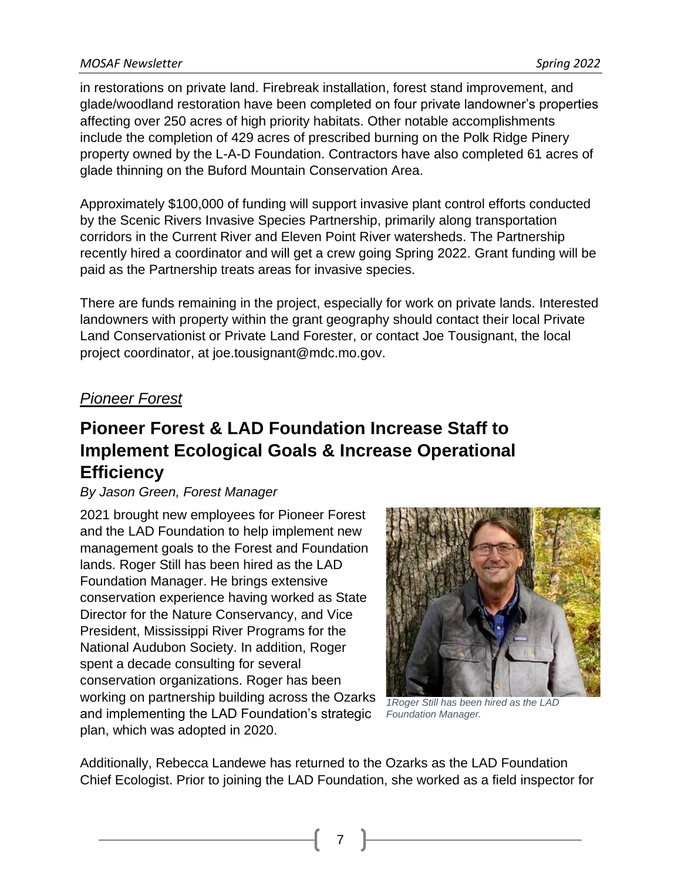in restorations on private land. Firebreak installation, forest stand improvement, and glade/woodland restoration have been completed on four private landowner's properties affecting over 250 acres of high priority habitats. Other notable accomplishments include the completion of 429 acres of prescribed burning on the Polk Ridge Pinery property owned by the L-A-D Foundation. Contractors have also completed 61 acres of glade thinning on the Buford Mountain Conservation Area.

Approximately \$100,000 of funding will support invasive plant control efforts conducted by the Scenic Rivers Invasive Species Partnership, primarily along transportation corridors in the Current River and Eleven Point River watersheds. The Partnership recently hired a coordinator and will get a crew going Spring 2022. Grant funding will be paid as the Partnership treats areas for invasive species.

There are funds remaining in the project, especially for work on private lands. Interested landowners with property within the grant geography should contact their local Private Land Conservationist or Private Land Forester, or contact Joe Tousignant, the local project coordinator, at joe.tousignant@mdc.mo.gov.

### *Pioneer Forest*

# **Pioneer Forest & LAD Foundation Increase Staff to Implement Ecological Goals & Increase Operational Efficiency**

### *By Jason Green, Forest Manager*

2021 brought new employees for Pioneer Forest and the LAD Foundation to help implement new management goals to the Forest and Foundation lands. Roger Still has been hired as the LAD Foundation Manager. He brings extensive conservation experience having worked as State Director for the Nature Conservancy, and Vice President, Mississippi River Programs for the National Audubon Society. In addition, Roger spent a decade consulting for several conservation organizations. Roger has been working on partnership building across the Ozarks and implementing the LAD Foundation's strategic plan, which was adopted in 2020.



*1Roger Still has been hired as the LAD Foundation Manager.*

Additionally, Rebecca Landewe has returned to the Ozarks as the LAD Foundation Chief Ecologist. Prior to joining the LAD Foundation, she worked as a field inspector for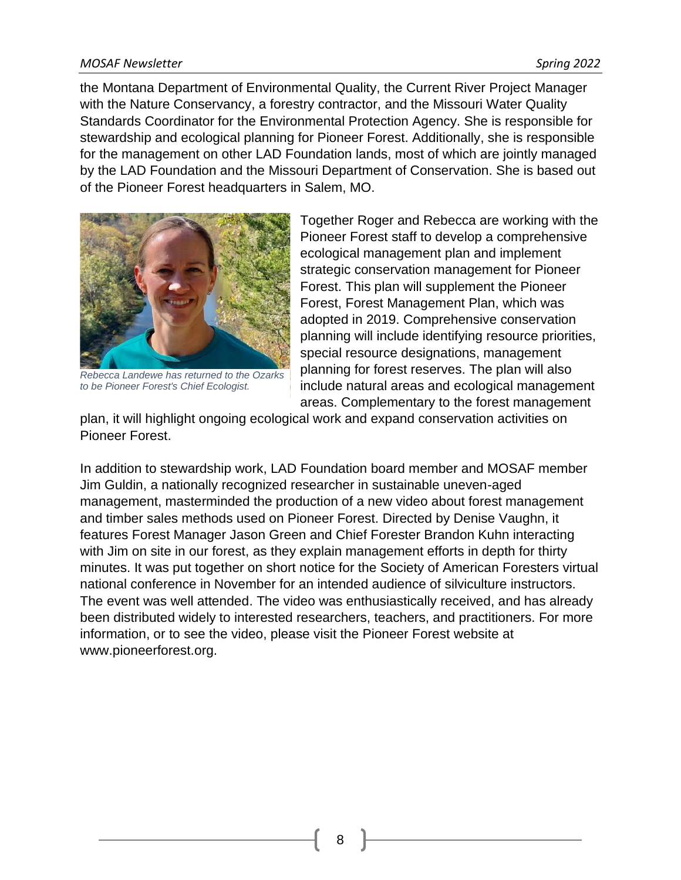#### *MOSAF Newsletter Spring 2022*

the Montana Department of Environmental Quality, the Current River Project Manager with the Nature Conservancy, a forestry contractor, and the Missouri Water Quality Standards Coordinator for the Environmental Protection Agency. She is responsible for stewardship and ecological planning for Pioneer Forest. Additionally, she is responsible for the management on other LAD Foundation lands, most of which are jointly managed by the LAD Foundation and the Missouri Department of Conservation. She is based out of the Pioneer Forest headquarters in Salem, MO.



*Rebecca Landewe has returned to the Ozarks to be Pioneer Forest's Chief Ecologist.*

Together Roger and Rebecca are working with the Pioneer Forest staff to develop a comprehensive ecological management plan and implement strategic conservation management for Pioneer Forest. This plan will supplement the Pioneer Forest, Forest Management Plan, which was adopted in 2019. Comprehensive conservation planning will include identifying resource priorities, special resource designations, management planning for forest reserves. The plan will also include natural areas and ecological management areas. Complementary to the forest management

plan, it will highlight ongoing ecological work and expand conservation activities on Pioneer Forest.

In addition to stewardship work, LAD Foundation board member and MOSAF member Jim Guldin, a nationally recognized researcher in sustainable uneven-aged management, masterminded the production of a new video about forest management and timber sales methods used on Pioneer Forest. Directed by Denise Vaughn, it features Forest Manager Jason Green and Chief Forester Brandon Kuhn interacting with Jim on site in our forest, as they explain management efforts in depth for thirty minutes. It was put together on short notice for the Society of American Foresters virtual national conference in November for an intended audience of silviculture instructors. The event was well attended. The video was enthusiastically received, and has already been distributed widely to interested researchers, teachers, and practitioners. For more information, or to see the video, please visit the Pioneer Forest website at www.pioneerforest.org.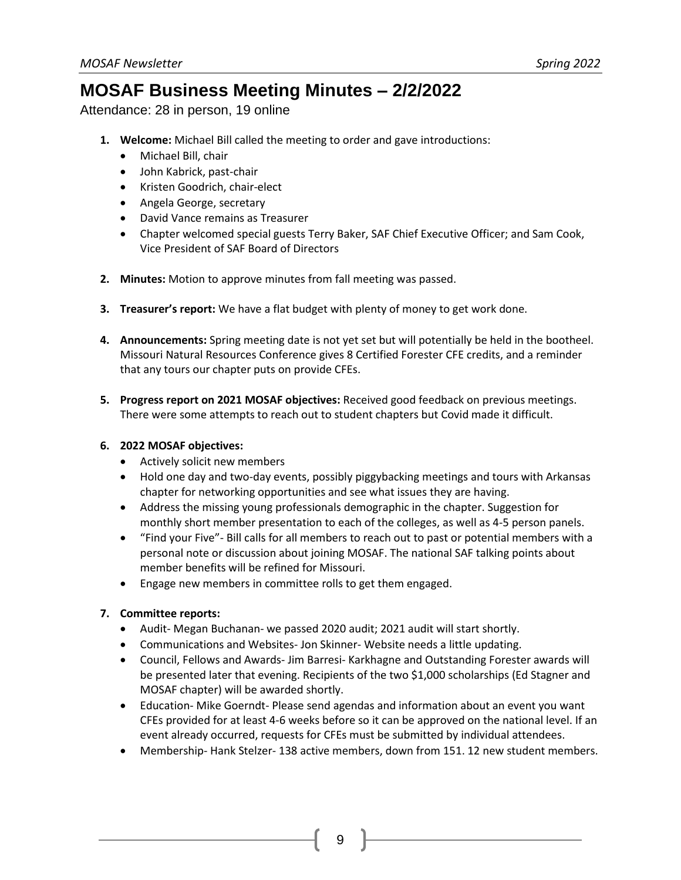### **MOSAF Business Meeting Minutes – 2/2/2022**

Attendance: 28 in person, 19 online

- **1. Welcome:** Michael Bill called the meeting to order and gave introductions:
	- Michael Bill, chair
	- John Kabrick, past-chair
	- Kristen Goodrich, chair-elect
	- Angela George, secretary
	- David Vance remains as Treasurer
	- Chapter welcomed special guests Terry Baker, SAF Chief Executive Officer; and Sam Cook, Vice President of SAF Board of Directors
- **2. Minutes:** Motion to approve minutes from fall meeting was passed.
- **3. Treasurer's report:** We have a flat budget with plenty of money to get work done.
- **4. Announcements:** Spring meeting date is not yet set but will potentially be held in the bootheel. Missouri Natural Resources Conference gives 8 Certified Forester CFE credits, and a reminder that any tours our chapter puts on provide CFEs.
- **5. Progress report on 2021 MOSAF objectives:** Received good feedback on previous meetings. There were some attempts to reach out to student chapters but Covid made it difficult.

#### **6. 2022 MOSAF objectives:**

- Actively solicit new members
- Hold one day and two-day events, possibly piggybacking meetings and tours with Arkansas chapter for networking opportunities and see what issues they are having.
- Address the missing young professionals demographic in the chapter. Suggestion for monthly short member presentation to each of the colleges, as well as 4-5 person panels.
- "Find your Five"- Bill calls for all members to reach out to past or potential members with a personal note or discussion about joining MOSAF. The national SAF talking points about member benefits will be refined for Missouri.
- Engage new members in committee rolls to get them engaged.

#### **7. Committee reports:**

- Audit- Megan Buchanan- we passed 2020 audit; 2021 audit will start shortly.
- Communications and Websites- Jon Skinner- Website needs a little updating.
- Council, Fellows and Awards- Jim Barresi- Karkhagne and Outstanding Forester awards will be presented later that evening. Recipients of the two \$1,000 scholarships (Ed Stagner and MOSAF chapter) will be awarded shortly.
- Education- Mike Goerndt- Please send agendas and information about an event you want CFEs provided for at least 4-6 weeks before so it can be approved on the national level. If an event already occurred, requests for CFEs must be submitted by individual attendees.
- Membership- Hank Stelzer- 138 active members, down from 151. 12 new student members.

 $9^{\circ}$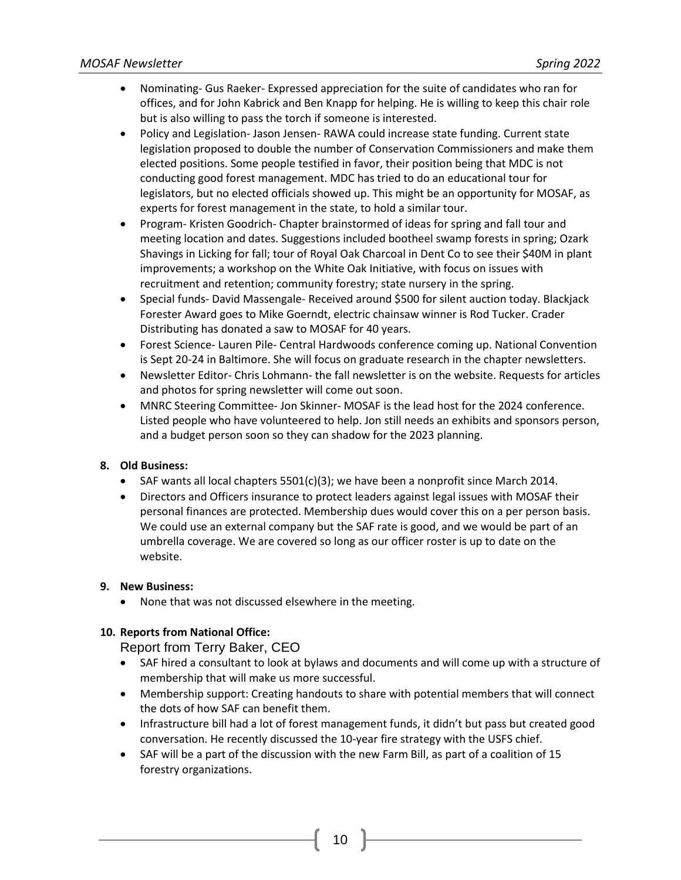- Nominating- Gus Raeker- Expressed appreciation for the suite of candidates who ran for offices, and for John Kabrick and Ben Knapp for helping. He is willing to keep this chair role but is also willing to pass the torch if someone is interested.
- Policy and Legislation- Jason Jensen- RAWA could increase state funding. Current state legislation proposed to double the number of Conservation Commissioners and make them elected positions. Some people testified in favor, their position being that MDC is not conducting good forest management. MDC has tried to do an educational tour for legislators, but no elected officials showed up. This might be an opportunity for MOSAF, as experts for forest management in the state, to hold a similar tour.
- Program- Kristen Goodrich- Chapter brainstormed of ideas for spring and fall tour and meeting location and dates. Suggestions included bootheel swamp forests in spring; Ozark Shavings in Licking for fall; tour of Royal Oak Charcoal in Dent Co to see their \$40M in plant improvements; a workshop on the White Oak Initiative, with focus on issues with recruitment and retention; community forestry; state nursery in the spring.
- Special funds-David Massengale- Received around \$500 for silent auction today. Blackjack Forester Award goes to Mike Goerndt, electric chainsaw winner is Rod Tucker. Crader Distributing has donated a saw to MOSAF for 40 years.
- Forest Science- Lauren Pile- Central Hardwoods conference coming up. National Convention is Sept 20-24 in Baltimore. She will focus on graduate research in the chapter newsletters.
- Newsletter Editor- Chris Lohmann- the fall newsletter is on the website. Requests for articles and photos for spring newsletter will come out soon.
- MNRC Steering Committee- Jon Skinner- MOSAF is the lead host for the 2024 conference. Listed people who have volunteered to help. Jon still needs an exhibits and sponsors person, and a budget person soon so they can shadow for the 2023 planning.

#### **8. Old Business:**

- SAF wants all local chapters  $5501(c)(3)$ ; we have been a nonprofit since March 2014.
- Directors and Officers insurance to protect leaders against legal issues with MOSAF their personal finances are protected. Membership dues would cover this on a per person basis. We could use an external company but the SAF rate is good, and we would be part of an umbrella coverage. We are covered so long as our officer roster is up to date on the website.

#### **9. New Business:**

• None that was not discussed elsewhere in the meeting.

#### **10. Reports from National Office:**

Report from Terry Baker, CEO

- SAF hired a consultant to look at bylaws and documents and will come up with a structure of membership that will make us more successful.
- Membership support: Creating handouts to share with potential members that will connect the dots of how SAF can benefit them.
- Infrastructure bill had a lot of forest management funds, it didn't but pass but created good conversation. He recently discussed the 10-year fire strategy with the USFS chief.
- SAF will be a part of the discussion with the new Farm Bill, as part of a coalition of 15 forestry organizations.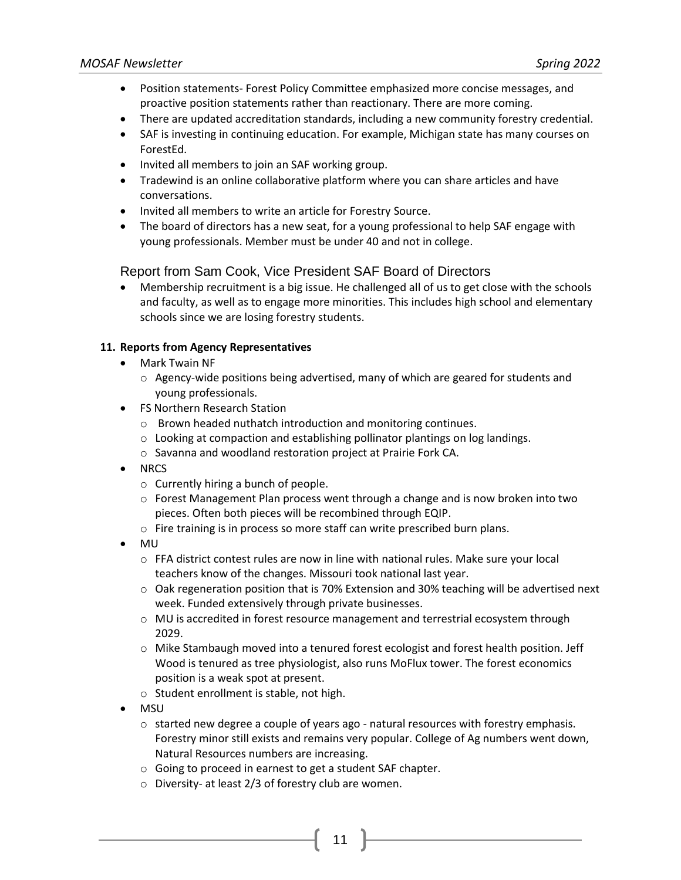- Position statements- Forest Policy Committee emphasized more concise messages, and proactive position statements rather than reactionary. There are more coming.
- There are updated accreditation standards, including a new community forestry credential.
- SAF is investing in continuing education. For example, Michigan state has many courses on ForestEd.
- Invited all members to join an SAF working group.
- Tradewind is an online collaborative platform where you can share articles and have conversations.
- Invited all members to write an article for Forestry Source.
- The board of directors has a new seat, for a young professional to help SAF engage with young professionals. Member must be under 40 and not in college.

#### Report from Sam Cook, Vice President SAF Board of Directors

• Membership recruitment is a big issue. He challenged all of us to get close with the schools and faculty, as well as to engage more minorities. This includes high school and elementary schools since we are losing forestry students.

#### **11. Reports from Agency Representatives**

- Mark Twain NF
	- $\circ$  Agency-wide positions being advertised, many of which are geared for students and young professionals.
- FS Northern Research Station
	- o Brown headed nuthatch introduction and monitoring continues.
	- o Looking at compaction and establishing pollinator plantings on log landings.
	- o Savanna and woodland restoration project at Prairie Fork CA.
- NRCS
	- o Currently hiring a bunch of people.
	- $\circ$  Forest Management Plan process went through a change and is now broken into two pieces. Often both pieces will be recombined through EQIP.
	- o Fire training is in process so more staff can write prescribed burn plans.
- MU
	- $\circ$  FFA district contest rules are now in line with national rules. Make sure your local teachers know of the changes. Missouri took national last year.
	- $\circ$  Oak regeneration position that is 70% Extension and 30% teaching will be advertised next week. Funded extensively through private businesses.
	- $\circ$  MU is accredited in forest resource management and terrestrial ecosystem through 2029.
	- $\circ$  Mike Stambaugh moved into a tenured forest ecologist and forest health position. Jeff Wood is tenured as tree physiologist, also runs MoFlux tower. The forest economics position is a weak spot at present.
	- o Student enrollment is stable, not high.
- MSU
	- $\circ$  started new degree a couple of years ago natural resources with forestry emphasis. Forestry minor still exists and remains very popular. College of Ag numbers went down, Natural Resources numbers are increasing.

- o Going to proceed in earnest to get a student SAF chapter.
- o Diversity- at least 2/3 of forestry club are women.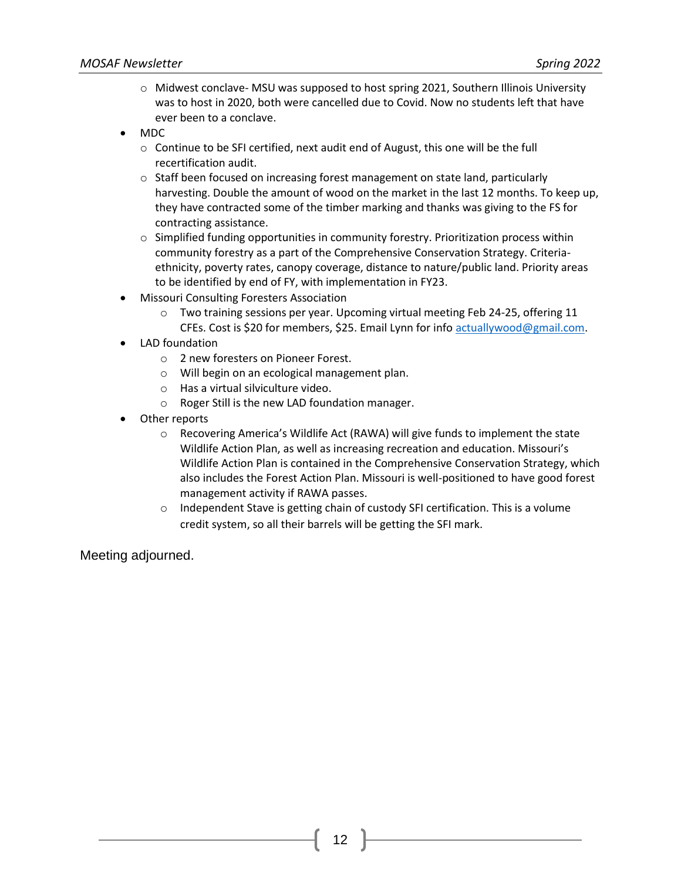- $\circ$  Midwest conclave- MSU was supposed to host spring 2021, Southern Illinois University was to host in 2020, both were cancelled due to Covid. Now no students left that have ever been to a conclave.
- MDC
	- o Continue to be SFI certified, next audit end of August, this one will be the full recertification audit.
	- o Staff been focused on increasing forest management on state land, particularly harvesting. Double the amount of wood on the market in the last 12 months. To keep up, they have contracted some of the timber marking and thanks was giving to the FS for contracting assistance.
	- $\circ$  Simplified funding opportunities in community forestry. Prioritization process within community forestry as a part of the Comprehensive Conservation Strategy. Criteriaethnicity, poverty rates, canopy coverage, distance to nature/public land. Priority areas to be identified by end of FY, with implementation in FY23.
- Missouri Consulting Foresters Association
	- $\circ$  Two training sessions per year. Upcoming virtual meeting Feb 24-25, offering 11 CFEs. Cost is \$20 for members, \$25. Email Lynn for inf[o actuallywood@gmail.com.](mailto:actuallywood@gmail.com)
- LAD foundation
	- o 2 new foresters on Pioneer Forest.
	- o Will begin on an ecological management plan.
	- o Has a virtual silviculture video.
	- o Roger Still is the new LAD foundation manager.
- Other reports
	- o Recovering America's Wildlife Act (RAWA) will give funds to implement the state Wildlife Action Plan, as well as increasing recreation and education. Missouri's Wildlife Action Plan is contained in the Comprehensive Conservation Strategy, which also includes the Forest Action Plan. Missouri is well-positioned to have good forest management activity if RAWA passes.
	- o Independent Stave is getting chain of custody SFI certification. This is a volume credit system, so all their barrels will be getting the SFI mark.

Meeting adjourned.